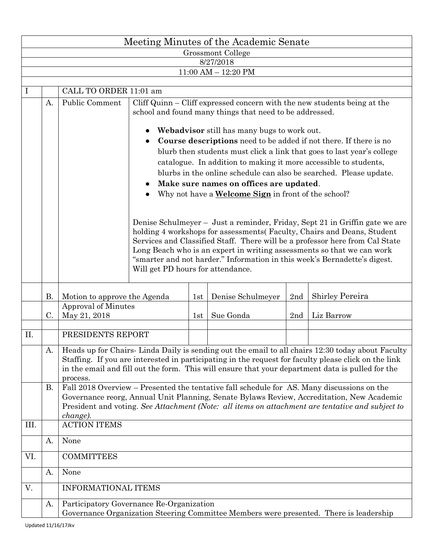|                   | Meeting Minutes of the Academic Senate |                                                                                                                                                                                                                                                                                                                                                                                                                                                                                                                                                                                                                                                                                                                                                                                                                                                                                                                                                                                                                                                            |  |     |                   |     |                 |  |  |  |  |  |  |  |
|-------------------|----------------------------------------|------------------------------------------------------------------------------------------------------------------------------------------------------------------------------------------------------------------------------------------------------------------------------------------------------------------------------------------------------------------------------------------------------------------------------------------------------------------------------------------------------------------------------------------------------------------------------------------------------------------------------------------------------------------------------------------------------------------------------------------------------------------------------------------------------------------------------------------------------------------------------------------------------------------------------------------------------------------------------------------------------------------------------------------------------------|--|-----|-------------------|-----|-----------------|--|--|--|--|--|--|--|
| Grossmont College |                                        |                                                                                                                                                                                                                                                                                                                                                                                                                                                                                                                                                                                                                                                                                                                                                                                                                                                                                                                                                                                                                                                            |  |     |                   |     |                 |  |  |  |  |  |  |  |
|                   | 8/27/2018<br>$11:00$ AM $- 12:20$ PM   |                                                                                                                                                                                                                                                                                                                                                                                                                                                                                                                                                                                                                                                                                                                                                                                                                                                                                                                                                                                                                                                            |  |     |                   |     |                 |  |  |  |  |  |  |  |
|                   |                                        |                                                                                                                                                                                                                                                                                                                                                                                                                                                                                                                                                                                                                                                                                                                                                                                                                                                                                                                                                                                                                                                            |  |     |                   |     |                 |  |  |  |  |  |  |  |
|                   |                                        | CALL TO ORDER 11:01 am                                                                                                                                                                                                                                                                                                                                                                                                                                                                                                                                                                                                                                                                                                                                                                                                                                                                                                                                                                                                                                     |  |     |                   |     |                 |  |  |  |  |  |  |  |
|                   | A.                                     | <b>Public Comment</b><br>Cliff Quinn – Cliff expressed concern with the new students being at the<br>school and found many things that need to be addressed.<br><b>Webadyisor</b> still has many bugs to work out.<br>Course descriptions need to be added if not there. If there is no<br>blurb then students must click a link that goes to last year's college<br>catalogue. In addition to making it more accessible to students,<br>blurbs in the online schedule can also be searched. Please update.<br>Make sure names on offices are updated.<br>Why not have a <b>Welcome Sign</b> in front of the school?<br>Denise Schulmeyer – Just a reminder, Friday, Sept 21 in Griffin gate we are<br>holding 4 workshops for assessments (Faculty, Chairs and Deans, Student<br>Services and Classified Staff. There will be a professor here from Cal State<br>Long Beach who is an expert in writing assessments so that we can work<br>"smarter and not harder." Information in this week's Bernadette's digest.<br>Will get PD hours for attendance. |  |     |                   |     |                 |  |  |  |  |  |  |  |
|                   | Β.                                     | Motion to approve the Agenda                                                                                                                                                                                                                                                                                                                                                                                                                                                                                                                                                                                                                                                                                                                                                                                                                                                                                                                                                                                                                               |  | 1st | Denise Schulmeyer | 2nd | Shirley Pereira |  |  |  |  |  |  |  |
|                   | C.                                     | Approval of Minutes<br>May 21, 2018                                                                                                                                                                                                                                                                                                                                                                                                                                                                                                                                                                                                                                                                                                                                                                                                                                                                                                                                                                                                                        |  | 1st | Sue Gonda         | 2nd | Liz Barrow      |  |  |  |  |  |  |  |
| II.               |                                        | PRESIDENTS REPORT                                                                                                                                                                                                                                                                                                                                                                                                                                                                                                                                                                                                                                                                                                                                                                                                                                                                                                                                                                                                                                          |  |     |                   |     |                 |  |  |  |  |  |  |  |
|                   | А.                                     | Heads up for Chairs-Linda Daily is sending out the email to all chairs 12:30 today about Faculty<br>Staffing. If you are interested in participating in the request for faculty please click on the link<br>in the email and fill out the form. This will ensure that your department data is pulled for the<br>process.                                                                                                                                                                                                                                                                                                                                                                                                                                                                                                                                                                                                                                                                                                                                   |  |     |                   |     |                 |  |  |  |  |  |  |  |
| III.              | В.                                     | Fall 2018 Overview - Presented the tentative fall schedule for AS. Many discussions on the<br>Governance reorg, Annual Unit Planning, Senate Bylaws Review, Accreditation, New Academic<br>President and voting. See Attachment (Note: all items on attachment are tentative and subject to<br>change).<br><b>ACTION ITEMS</b>                                                                                                                                                                                                                                                                                                                                                                                                                                                                                                                                                                                                                                                                                                                             |  |     |                   |     |                 |  |  |  |  |  |  |  |
|                   | А.                                     | None                                                                                                                                                                                                                                                                                                                                                                                                                                                                                                                                                                                                                                                                                                                                                                                                                                                                                                                                                                                                                                                       |  |     |                   |     |                 |  |  |  |  |  |  |  |
| VI.               |                                        | <b>COMMITTEES</b>                                                                                                                                                                                                                                                                                                                                                                                                                                                                                                                                                                                                                                                                                                                                                                                                                                                                                                                                                                                                                                          |  |     |                   |     |                 |  |  |  |  |  |  |  |
|                   | A.                                     | None                                                                                                                                                                                                                                                                                                                                                                                                                                                                                                                                                                                                                                                                                                                                                                                                                                                                                                                                                                                                                                                       |  |     |                   |     |                 |  |  |  |  |  |  |  |
| V.                |                                        | <b>INFORMATIONAL ITEMS</b>                                                                                                                                                                                                                                                                                                                                                                                                                                                                                                                                                                                                                                                                                                                                                                                                                                                                                                                                                                                                                                 |  |     |                   |     |                 |  |  |  |  |  |  |  |
|                   | A.                                     | Participatory Governance Re-Organization<br>Governance Organization Steering Committee Members were presented. There is leadership                                                                                                                                                                                                                                                                                                                                                                                                                                                                                                                                                                                                                                                                                                                                                                                                                                                                                                                         |  |     |                   |     |                 |  |  |  |  |  |  |  |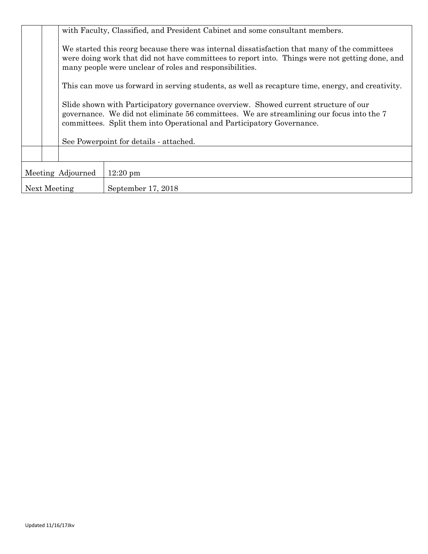|                   | with Faculty, Classified, and President Cabinet and some consultant members.                                                                                                                                                                             |                                                                                                                                                                                                                                                           |  |  |  |  |  |  |
|-------------------|----------------------------------------------------------------------------------------------------------------------------------------------------------------------------------------------------------------------------------------------------------|-----------------------------------------------------------------------------------------------------------------------------------------------------------------------------------------------------------------------------------------------------------|--|--|--|--|--|--|
|                   |                                                                                                                                                                                                                                                          | We started this reorg because there was internal dissatisfaction that many of the committees<br>were doing work that did not have committees to report into. Things were not getting done, and<br>many people were unclear of roles and responsibilities. |  |  |  |  |  |  |
|                   | This can move us forward in serving students, as well as recapture time, energy, and creativity.                                                                                                                                                         |                                                                                                                                                                                                                                                           |  |  |  |  |  |  |
|                   | Slide shown with Participatory governance overview. Showed current structure of our<br>governance. We did not eliminate 56 committees. We are streamlining our focus into the 7<br>committees. Split them into Operational and Participatory Governance. |                                                                                                                                                                                                                                                           |  |  |  |  |  |  |
|                   | See Powerpoint for details - attached.                                                                                                                                                                                                                   |                                                                                                                                                                                                                                                           |  |  |  |  |  |  |
|                   |                                                                                                                                                                                                                                                          |                                                                                                                                                                                                                                                           |  |  |  |  |  |  |
| Meeting Adjourned |                                                                                                                                                                                                                                                          | $12:20 \text{ pm}$                                                                                                                                                                                                                                        |  |  |  |  |  |  |
| Next Meeting      |                                                                                                                                                                                                                                                          | September 17, 2018                                                                                                                                                                                                                                        |  |  |  |  |  |  |